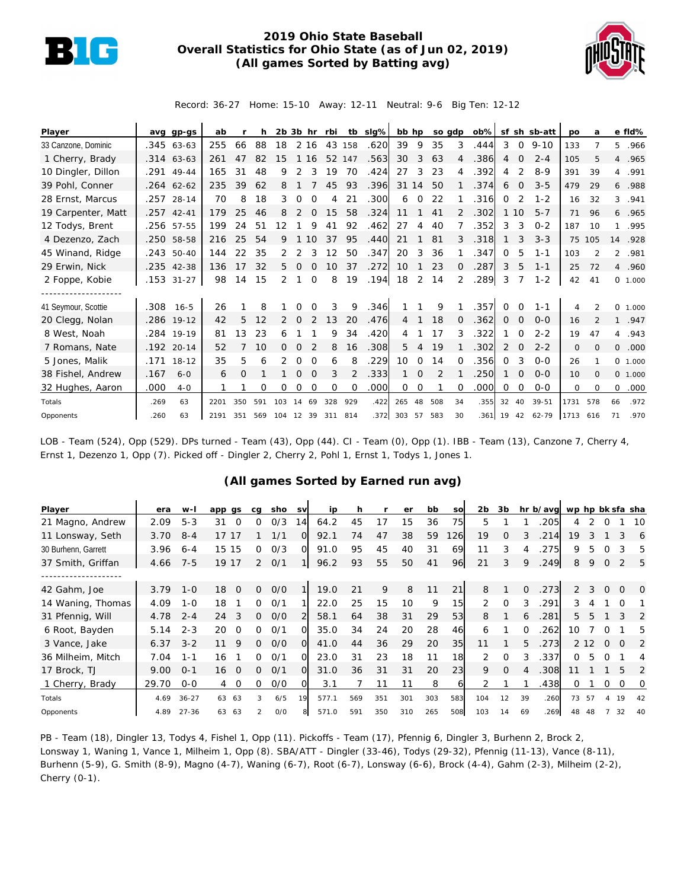

## **2019 Ohio State Baseball Overall Statistics for Ohio State (as of Jun 02, 2019) (All games Sorted by Batting avg)**



Record: 36-27 Home: 15-10 Away: 12-11 Neutral: 9-6 Big Ten: 12-12

| Player              | avq  | $qp-gs$      | ab   |     |     |     | $2b$ $3b$ hr |              | rbi      |          | tb slg% | bb hp          |          | so gdp |               | $\mathsf{ob} \%$ |          |          | sf sh sb-att | po      | a              |                | e fld%  |
|---------------------|------|--------------|------|-----|-----|-----|--------------|--------------|----------|----------|---------|----------------|----------|--------|---------------|------------------|----------|----------|--------------|---------|----------------|----------------|---------|
| 33 Canzone, Dominic |      | $.345$ 63-63 | 255  | 66  | 88  | 18  |              | 2 16         | 43       | 158      | .620    | 39             | 9        | 35     | 3             | .444             | 3        | $\circ$  | $9 - 10$     | 133     |                | 5              | .966    |
| 1 Cherry, Brady     |      | $.314$ 63-63 | 261  | 47  | 82  | 15  |              | 16           | 52       | 147      | .563    | 30             | 3        | 63     |               | .386             | 4        | 0        | $2 - 4$      | 105     | 5              |                | 4.965   |
| 10 Dingler, Dillon  | .291 | $49 - 44$    | 165  | 31  | 48  | 9   | 2            |              | 19       | 70       | .424    | 27             | 3        | 23     | 4             | .392             | 4        | 2        | $8 - 9$      | 391     | 39             | $\overline{4}$ | .991    |
| 39 Pohl, Conner     |      | $.264$ 62-62 | 235  | 39  | 62  | 8   |              |              | 45       | 93       | .396    | 31             | 14       | 50     |               | .374             | 6        | $\Omega$ | $3 - 5$      | 479     | 29             |                | 6.988   |
| 28 Ernst, Marcus    |      | .257 28-14   | 70   | 8   | 18  | 3   | $\Omega$     | $\Omega$     | 4        | 21       | .300    | 6              | $\Omega$ | 22     |               | .316             | $\Omega$ | 2        | $1 - 2$      | 16      | 32             | $\mathcal{E}$  | .941    |
| 19 Carpenter, Matt  | .257 | $42 - 41$    | 179  | 25  | 46  | 8   |              |              | 15       | 58       | .324    | 11             |          | 41     | $\mathcal{P}$ | .302             | 1        | 10       | $5 - 7$      | 71      | 96             |                | 6.965   |
| 12 Todys, Brent     |      | .256 57-55   | 199  | 24  | 51  | 12  |              | 9            | 41       | 92       | .462    | 27             | 4        | 40     |               | .352             | 3        | 3        | $0 - 2$      | 187     | 10             | 1              | .995    |
| 4 Dezenzo, Zach     |      | .250 58-58   | 216  | 25  | 54  | 9   |              | 10           | 37       | 95       | .440    | 21             |          | 81     | 3             | .318             |          |          | $3 - 3$      | 75      | 105            |                | 14 .928 |
| 45 Winand, Ridge    | .243 | 50-40        | 144  | 22  | 35  |     |              |              | 12       | 50       | .347    | 20             | 3        | 36     |               | 347              | 0        | 5        | $1 - 1$      | 103     |                | $\mathcal{L}$  | .981    |
| 29 Erwin, Nick      |      | .235 42-38   | 136  | 17  | 32  | 5.  | $\Omega$     | <sup>o</sup> | 10       | 37       | .272    | 10             |          | 23     | $\Omega$      | .287             | 3        | 5        | $1 - 1$      | 25      | 72             |                | 4.960   |
| 2 Foppe, Kobie      |      | .153 31-27   | 98   | 14  | 15  | 2   |              | $\Omega$     | 8        | 19       | .194    | 18             | 2        | 14     | 2             | .289             | 3        |          | $1 - 2$      | 42      | 41             |                | 0 1.000 |
|                     |      |              |      |     |     |     |              |              |          |          |         |                |          |        |               |                  |          |          |              |         |                |                |         |
| 41 Seymour, Scottie | .308 | $16 - 5$     | 26   |     | 8   |     | 0            | $\Omega$     | 3        | 9        | .346    |                |          | 9      |               | 357              | 0        | $\Omega$ | $1 - 1$      | 4       | $\mathfrak{p}$ | $\Omega$       | 1.000   |
| 20 Clegg, Nolan     |      | .286 19-12   | 42   | 5   | 12  |     | 0            |              | 13       | 20       | .476    | $\overline{4}$ |          | 18     | $\mathbf{0}$  | .362             | 0        | 0        | $O - O$      | 16      |                | $\mathbf{1}$   | .947    |
| 8 West, Noah        |      | .284 19-19   | 81   | 13  | 23  | 6   |              |              | 9        | 34       | .420    | 4              |          | 17     | 3             | .322             |          | $\Omega$ | $2 - 2$      | 19      | 47             |                | 4.943   |
| 7 Romans, Nate      | .192 | $20 - 14$    | 52   |     | 10  | 0   |              |              | 8        | 16       | .308    | 5              | 4        | 19     |               | 302              | 2        | $\Omega$ | $2 - 2$      | $\circ$ | $\Omega$       | $\circ$        | .000    |
| 5 Jones, Malik      | .171 | $18 - 12$    | 35   | 5   | 6   |     | 0            | $\Omega$     | 6        | 8        | .229    | 10             | $\Omega$ | 14     |               | .356             | $\Omega$ | 3        | $O-O$        | 26      |                |                | 0 1.000 |
| 38 Fishel, Andrew   | .167 | $6 - 0$      | 6    | O   |     |     | $\Omega$     | $\Omega$     | 3        | 2        | .333    |                | 0        | 2      |               | 250              |          | $\Omega$ | $O - O$      | 10      | $\Omega$       |                | 0 1.000 |
| 32 Hughes, Aaron    | .000 | $4-0$        |      |     | Ω   | Ω   | O            | O            | $\Omega$ | $\Omega$ | .000    | 0              | 0        |        | $\Omega$      | .000             | 0        | O        | $0 - 0$      | 0       | $\Omega$       | 0              | .000    |
| Totals              | .269 | 63           | 2201 | 350 | 591 | 103 | 14           | 69           | 328      | 929      | .422    | 265            | 48       | 508    | 34            | .355             | 32       | 40       | $39 - 51$    | 1731    | 578            | 66             | .972    |
| Opponents           | .260 | 63           | 2191 | 351 | 569 | 104 | 12           | 39           | 311      | 814      | .372    | 303            | 57       | 583    | 30            | .361             | 19       | 42       | 62-79        | 1713    | 616            | 71             | .970    |

LOB - Team (524), Opp (529). DPs turned - Team (43), Opp (44). CI - Team (0), Opp (1). IBB - Team (13), Canzone 7, Cherry 4, Ernst 1, Dezenzo 1, Opp (7). Picked off - Dingler 2, Cherry 2, Pohl 1, Ernst 1, Todys 1, Jones 1.

## **(All games Sorted by Earned run avg)**

| Player              | era   | $W -$     | app gs         | cg            | sho | <b>SV</b>      | ip    | h   |     | er  | bb  | SO              | 2b  | 3b       |          | hr b/avg wp hp bk sfa sha |               |       |          |          |          |
|---------------------|-------|-----------|----------------|---------------|-----|----------------|-------|-----|-----|-----|-----|-----------------|-----|----------|----------|---------------------------|---------------|-------|----------|----------|----------|
| 21 Magno, Andrew    | 2.09  | $5 - 3$   | 31             | O             | 0/3 | 14             | 64.2  | 45  | 17  | 15  | 36  | 75              | 5   |          |          | 205                       | 4             |       |          |          | 10       |
| 11 Lonsway, Seth    | 3.70  | $8 - 4$   | 17             |               | 1/1 | $\circ$        | 92.1  | 74  | 47  | 38  | 59  | 126             | 19  | 0        | 3        | 214                       | 19            |       |          | 3        | 6        |
| 30 Burhenn, Garrett | 3.96  | $6 - 4$   | 15<br>15       | 0             | 0/3 | $\Omega$       | 91.0  | 95  | 45  | 40  | 31  | 69              | 11  | 3        |          | 275                       | 9             |       |          |          | 5        |
| 37 Smith, Griffan   | 4.66  | $7 - 5$   | 19 17          | $\mathcal{P}$ | O/1 |                | 96.2  | 93  | 55  | 50  | 41  | 96              | 21  | 3        | 9        | .249                      | 8             | 9     | $\Omega$ |          | 5        |
|                     |       |           |                |               |     |                |       |     |     |     |     |                 |     |          |          |                           |               |       |          |          |          |
| 42 Gahm, Joe        | 3.79  | $1 - 0$   | 18<br>$\Omega$ | 0             | O/O |                | 19.0  | 21  | 9   | 8   | 11  | 21              | 8   |          | $\Omega$ | .273                      | $\mathcal{P}$ | 3     | $\Omega$ | $\Omega$ | $\Omega$ |
| 14 Waning, Thomas   | 4.09  | $1 - 0$   | 18             | 0             | 0/1 |                | 22.0  | 25  | 15  | 10  | 9   | 15 <sub>l</sub> | 2   | $\Omega$ | 3        | .291                      | 3             |       |          |          |          |
| 31 Pfennig, Will    | 4.78  | $2 - 4$   | 24<br>3        | $\Omega$      | O/O | $\overline{2}$ | 58.1  | 64  | 38  | 31  | 29  | 53              | 8   |          | 6        | .281                      | 5             | 5     |          | 3        | 2        |
| 6 Root, Bayden      | 5.14  | $2 - 3$   | 20<br>$\Omega$ | ∩             | 0/1 | $\Omega$       | 35.0  | 34  | 24  | 20  | 28  | 46              | 6   |          | $\Omega$ | 262                       | 10            |       |          |          | 5        |
| 3 Vance, Jake       | 6.37  | $3 - 2$   | 9<br>11        | 0             | O/O | $\Omega$       | 41.0  | 44  | 36  | 29  | 20  | 35              | 11  |          | 5        | .273                      |               | 2 1 2 | $\Omega$ | $\Omega$ | 2        |
| 36 Milheim, Mitch   | 7.04  | $1 - 1$   | 16             | 0             | 0/1 | O.             | 23.0  | 31  | 23  | 18  | 11  | 18              | 2   | $\Omega$ | 3        | .337                      | 0             | 5.    | $\Omega$ |          | 4        |
| 17 Brock, TJ        | 9.00  | $O - 1$   | 16<br>$\Omega$ | 0             | 0/1 | $\Omega$       | 31.0  | 36  | 31  | 31  | 20  | 23              | 9   | $\Omega$ | 4        | .308                      | 11            |       |          | 5        | 2        |
| 1 Cherry, Brady     | 29.70 | $0 - 0$   | $\circ$<br>4   | 0             | O/O | O.             | 3.1   |     | 11  | 11  | 8   | 61              |     |          |          | .438                      | 0             |       | 0        | O        | 0        |
| Totals              | 4.69  | $36 - 27$ | 63<br>63       | 3             | 6/5 | 19             | 577.1 | 569 | 351 | 301 | 303 | 583             | 104 | 12       | 39       | .260                      | 73            | 57    |          | 19       | 42       |
| Opponents           | 4.89  | $27 - 36$ | 63<br>63       | $\mathcal{P}$ | O/O | 8              | 571.0 | 591 | 350 | 310 | 265 | 508             | 103 | 14       | 69       | .269                      | 48            |       |          | 32       | 40       |

PB - Team (18), Dingler 13, Todys 4, Fishel 1, Opp (11). Pickoffs - Team (17), Pfennig 6, Dingler 3, Burhenn 2, Brock 2, Lonsway 1, Waning 1, Vance 1, Milheim 1, Opp (8). SBA/ATT - Dingler (33-46), Todys (29-32), Pfennig (11-13), Vance (8-11), Burhenn (5-9), G. Smith (8-9), Magno (4-7), Waning (6-7), Root (6-7), Lonsway (6-6), Brock (4-4), Gahm (2-3), Milheim (2-2), Cherry (0-1).